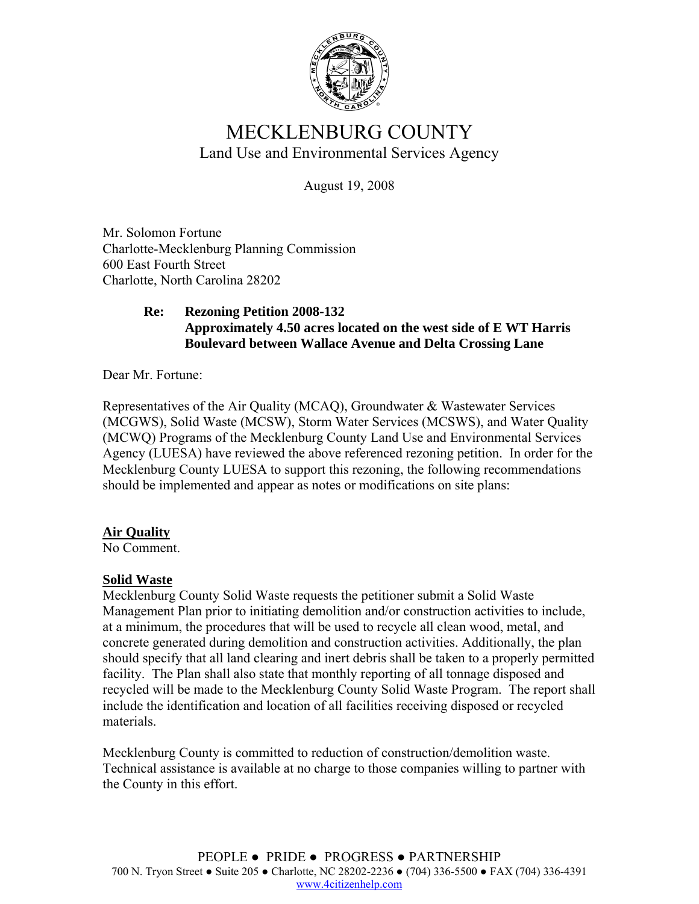

# MECKLENBURG COUNTY Land Use and Environmental Services Agency

August 19, 2008

Mr. Solomon Fortune Charlotte-Mecklenburg Planning Commission 600 East Fourth Street Charlotte, North Carolina 28202

### **Re: Rezoning Petition 2008-132 Approximately 4.50 acres located on the west side of E WT Harris Boulevard between Wallace Avenue and Delta Crossing Lane**

Dear Mr. Fortune:

Representatives of the Air Quality (MCAQ), Groundwater & Wastewater Services (MCGWS), Solid Waste (MCSW), Storm Water Services (MCSWS), and Water Quality (MCWQ) Programs of the Mecklenburg County Land Use and Environmental Services Agency (LUESA) have reviewed the above referenced rezoning petition. In order for the Mecklenburg County LUESA to support this rezoning, the following recommendations should be implemented and appear as notes or modifications on site plans:

## **Air Quality**

No Comment.

## **Solid Waste**

Mecklenburg County Solid Waste requests the petitioner submit a Solid Waste Management Plan prior to initiating demolition and/or construction activities to include, at a minimum, the procedures that will be used to recycle all clean wood, metal, and concrete generated during demolition and construction activities. Additionally, the plan should specify that all land clearing and inert debris shall be taken to a properly permitted facility. The Plan shall also state that monthly reporting of all tonnage disposed and recycled will be made to the Mecklenburg County Solid Waste Program. The report shall include the identification and location of all facilities receiving disposed or recycled materials.

Mecklenburg County is committed to reduction of construction/demolition waste. Technical assistance is available at no charge to those companies willing to partner with the County in this effort.